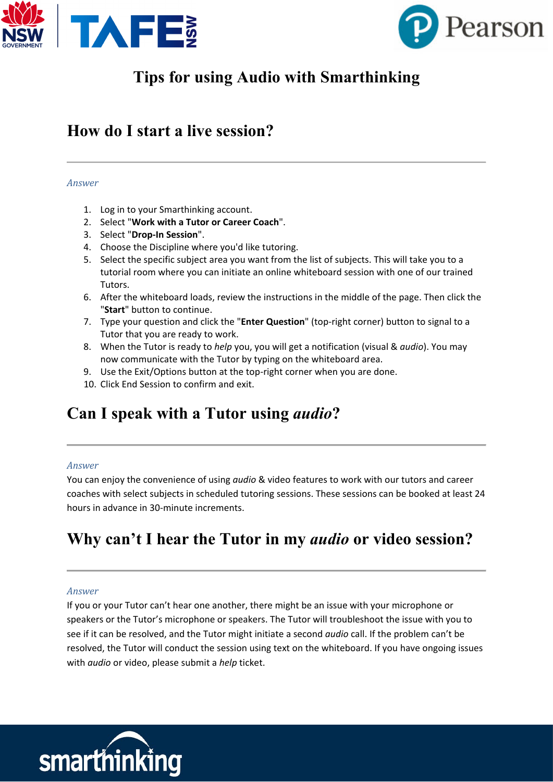



# **Tips for using Audio with Smarthinking**

# **How do I start a live session?**

#### *Answer*

- 1. Log in to your Smarthinking account.
- 2. Select "**Work with a Tutor or Career Coach**".
- 3. Select "**Drop-In Session**".
- 4. Choose the Discipline where you'd like tutoring.
- 5. Select the specific subject area you want from the list of subjects. This will take you to a tutorial room where you can initiate an online whiteboard session with one of our trained Tutors.
- 6. After the whiteboard loads, review the instructions in the middle of the page. Then click the "**Start**" button to continue.
- 7. Type your question and click the "**Enter Question**" (top-right corner) button to signal to a Tutor that you are ready to work.
- 8. When the Tutor is ready to *help* you, you will get a notification (visual & *audio*). You may now communicate with the Tutor by typing on the whiteboard area.
- 9. Use the Exit/Options button at the top-right corner when you are done.
- 10. Click End Session to confirm and exit.

# **Can I speak with a Tutor using** *audio***?**

### *Answer*

You can enjoy the convenience of using *audio* & video features to work with our tutors and career coaches with select subjects in scheduled tutoring sessions. These sessions can be booked at least 24 hours in advance in 30-minute increments.

# **Why can't I hear the Tutor in my** *audio* **or video session?**

### *Answer*

If you or your Tutor can't hear one another, there might be an issue with your microphone or speakers or the Tutor's microphone or speakers. The Tutor will troubleshoot the issue with you to see if it can be resolved, and the Tutor might initiate a second *audio* call. If the problem can't be resolved, the Tutor will conduct the session using text on the whiteboard. If you have ongoing issues with *audio* or video, please submit a *help* ticket.